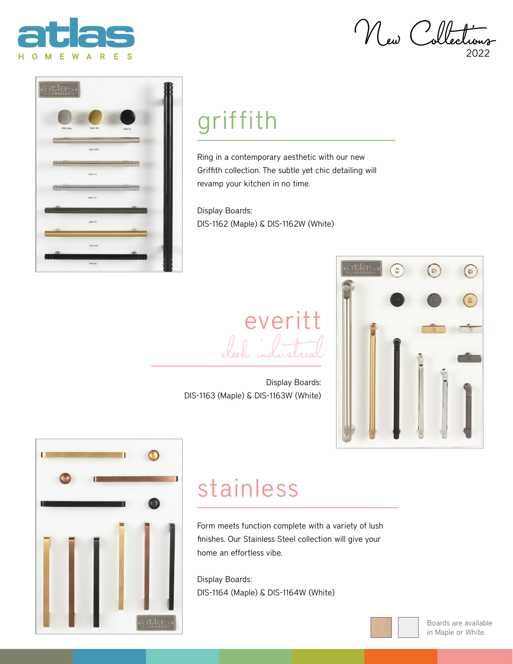

New Collecti 2022



## griffith

Ring in a contemporary aesthetic with our new Griffith collection. The subtle yet chic detailing will revamp your kitchen in no time.

Display Boards: DIS-1162 (Maple) & DIS-1162W (White)

everitt sleek industrial

Display Boards: DIS-1163 (Maple) & DIS-1163W (White)





## stainless

Form meets function complete with a variety of lush finishes. Our Stainless Steel collection will give your home an effortless vibe.

Display Boards: DIS-1164 (Maple) & DIS-1164W (White)